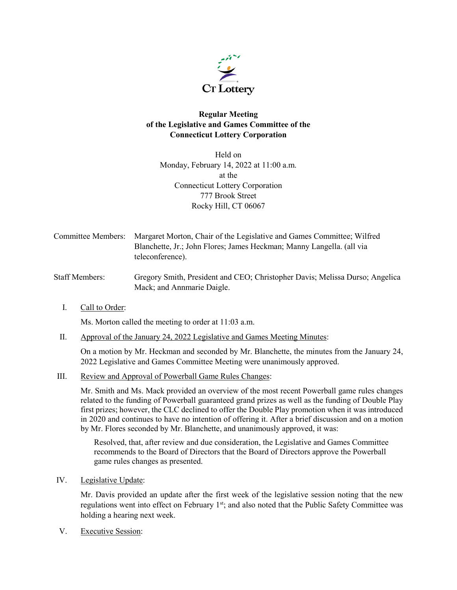

## **Regular Meeting of the Legislative and Games Committee of the Connecticut Lottery Corporation**

Held on Monday, February 14, 2022 at 11:00 a.m. at the Connecticut Lottery Corporation 777 Brook Street Rocky Hill, CT 06067

- Committee Members: Margaret Morton, Chair of the Legislative and Games Committee; Wilfred Blanchette, Jr.; John Flores; James Heckman; Manny Langella. (all via teleconference).
- Staff Members: Gregory Smith, President and CEO; Christopher Davis; Melissa Durso; Angelica Mack; and Annmarie Daigle.
	- I. Call to Order:

Ms. Morton called the meeting to order at 11:03 a.m.

II. Approval of the January 24, 2022 Legislative and Games Meeting Minutes:

On a motion by Mr. Heckman and seconded by Mr. Blanchette, the minutes from the January 24, 2022 Legislative and Games Committee Meeting were unanimously approved.

III. Review and Approval of Powerball Game Rules Changes:

Mr. Smith and Ms. Mack provided an overview of the most recent Powerball game rules changes related to the funding of Powerball guaranteed grand prizes as well as the funding of Double Play first prizes; however, the CLC declined to offer the Double Play promotion when it was introduced in 2020 and continues to have no intention of offering it. After a brief discussion and on a motion by Mr. Flores seconded by Mr. Blanchette, and unanimously approved, it was:

Resolved, that, after review and due consideration, the Legislative and Games Committee recommends to the Board of Directors that the Board of Directors approve the Powerball game rules changes as presented.

IV. Legislative Update:

Mr. Davis provided an update after the first week of the legislative session noting that the new regulations went into effect on February 1<sup>st</sup>; and also noted that the Public Safety Committee was holding a hearing next week.

V. Executive Session: